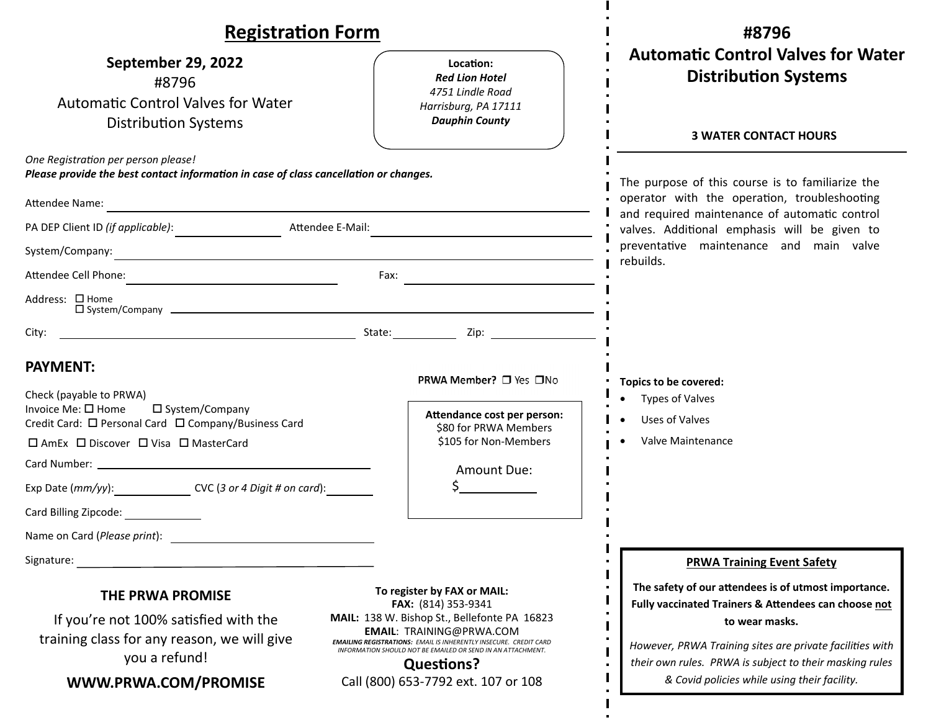| <b>Registration Form</b>                                                                                                                                                                                                                                                                                          |                                                                                                                                         | #8796                                                                                                                                                                                             |
|-------------------------------------------------------------------------------------------------------------------------------------------------------------------------------------------------------------------------------------------------------------------------------------------------------------------|-----------------------------------------------------------------------------------------------------------------------------------------|---------------------------------------------------------------------------------------------------------------------------------------------------------------------------------------------------|
| September 29, 2022<br>#8796<br><b>Automatic Control Valves for Water</b><br><b>Distribution Systems</b>                                                                                                                                                                                                           | Location:<br><b>Red Lion Hotel</b><br>4751 Lindle Road<br>Harrisburg, PA 17111<br><b>Dauphin County</b>                                 | <b>Automatic Control Valves for Water</b><br><b>Distribution Systems</b><br><b>3 WATER CONTACT HOURS</b>                                                                                          |
| One Registration per person please!<br>Please provide the best contact information in case of class cancellation or changes.                                                                                                                                                                                      |                                                                                                                                         | The purpose of this course is to familiarize the<br>operator with the operation, troubleshooting<br>and required maintenance of automatic control<br>valves. Additional emphasis will be given to |
| Attendee Name:                                                                                                                                                                                                                                                                                                    |                                                                                                                                         |                                                                                                                                                                                                   |
| PA DEP Client ID (if applicable): Attendee E-Mail: National Client Action Action Action Action Action Action A                                                                                                                                                                                                    |                                                                                                                                         |                                                                                                                                                                                                   |
| System/Company:<br>rebuilds.                                                                                                                                                                                                                                                                                      |                                                                                                                                         | preventative maintenance and main valve                                                                                                                                                           |
|                                                                                                                                                                                                                                                                                                                   | Fax:                                                                                                                                    |                                                                                                                                                                                                   |
| Address: $\Box$ Home                                                                                                                                                                                                                                                                                              |                                                                                                                                         |                                                                                                                                                                                                   |
| City:                                                                                                                                                                                                                                                                                                             |                                                                                                                                         |                                                                                                                                                                                                   |
| <b>PAYMENT:</b><br>Check (payable to PRWA)<br>Invoice Me: $\square$ Home<br>$\square$ System/Company<br>Credit Card: □ Personal Card □ Company/Business Card<br>□ AmEx □ Discover □ Visa □ MasterCard<br>Exp Date (mm/yy): CVC (3 or 4 Digit # on card):<br>Card Billing Zipcode:<br>Name on Card (Please print): | PRWA Member? □ Yes □No<br>Attendance cost per person:<br>\$80 for PRWA Members<br>\$105 for Non-Members<br>Amount Due:                  | Topics to be covered:<br><b>Types of Valves</b><br>Uses of Valves<br>Valve Maintenance                                                                                                            |
| Signature: Signature: Signature: Signature: Signature: Signature: Signature: Signature: Signature: Signature: Signature: Signature: Signature: Signature: Signature: Signature: Signature: Signature: Signature: Signature: Si                                                                                    |                                                                                                                                         | <b>PRWA Training Event Safety</b>                                                                                                                                                                 |
| THE PRWA PROMISE<br>If you're not 100% satisfied with the                                                                                                                                                                                                                                                         | To register by FAX or MAIL:<br>FAX: (814) 353-9341<br>MAIL: 138 W. Bishop St., Bellefonte PA 16823<br><b>EMAIL: TRAINING@PRWA.COM</b>   | The safety of our attendees is of utmost importance.<br>Fully vaccinated Trainers & Attendees can choose not<br>to wear masks.                                                                    |
| training class for any reason, we will give<br>you a refund!                                                                                                                                                                                                                                                      | <b>EMAILING REGISTRATIONS: EMAIL IS INHERENTLY INSECURE. CREDIT CARD</b><br>INFORMATION SHOULD NOT BE EMAILED OR SEND IN AN ATTACHMENT. | However, PRWA Training sites are private facilities with                                                                                                                                          |
| WWW.PRWA.COM/PROMISE                                                                                                                                                                                                                                                                                              | <b>Questions?</b><br>Call (800) 653-7792 ext. 107 or 108                                                                                | their own rules. PRWA is subject to their masking rules<br>& Covid policies while using their facility.                                                                                           |